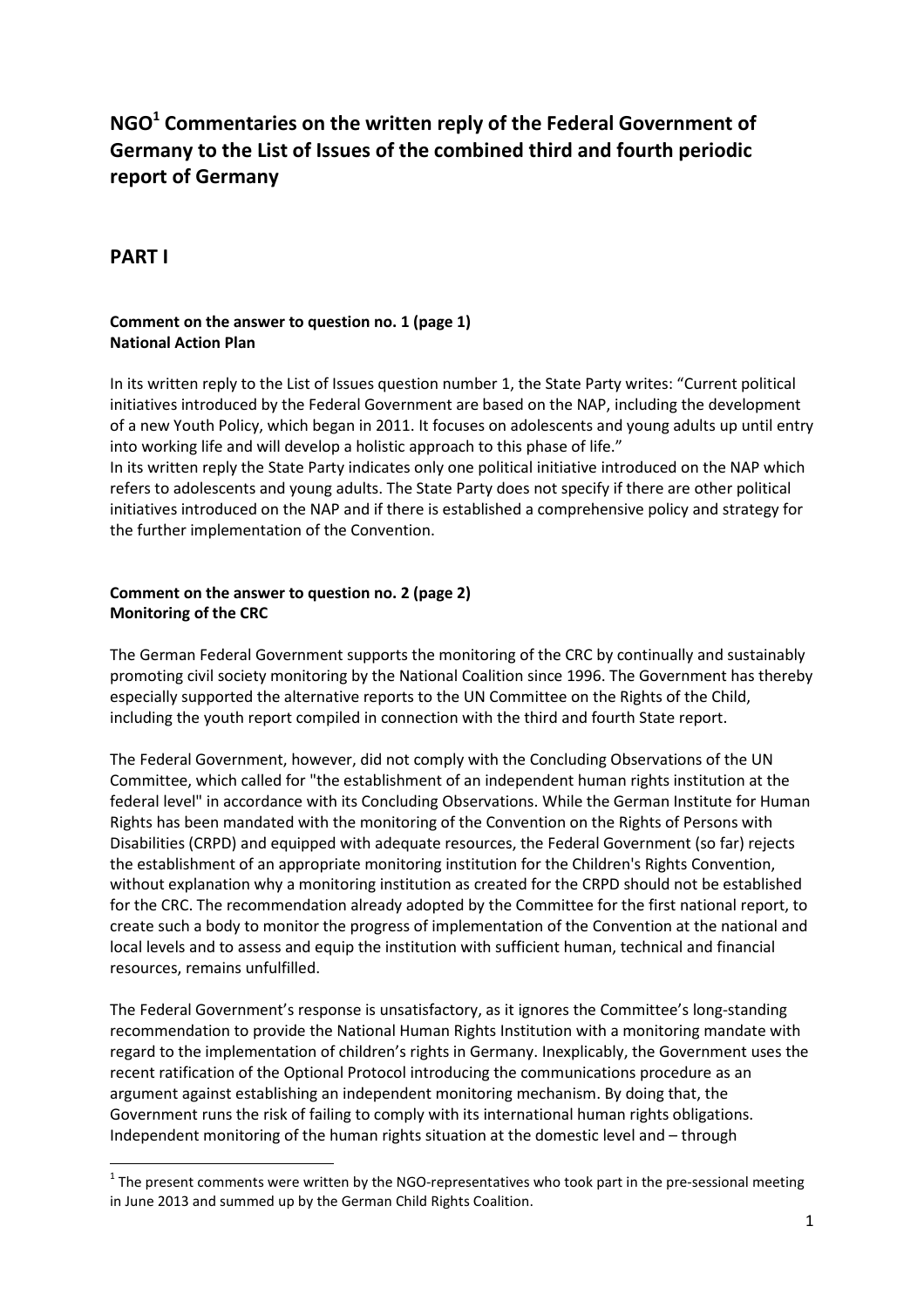# **NGO<sup>1</sup> Commentaries on the written reply of the Federal Government of Germany to the List of Issues of the combined third and fourth periodic report of Germany**

## **PART I**

 $\overline{a}$ 

## **Comment on the answer to question no. 1 (page 1) National Action Plan**

In its written reply to the List of Issues question number 1, the State Party writes: "Current political initiatives introduced by the Federal Government are based on the NAP, including the development of a new Youth Policy, which began in 2011. It focuses on adolescents and young adults up until entry into working life and will develop a holistic approach to this phase of life."

In its written reply the State Party indicates only one political initiative introduced on the NAP which refers to adolescents and young adults. The State Party does not specify if there are other political initiatives introduced on the NAP and if there is established a comprehensive policy and strategy for the further implementation of the Convention.

## **Comment on the answer to question no. 2 (page 2) Monitoring of the CRC**

The German Federal Government supports the monitoring of the CRC by continually and sustainably promoting civil society monitoring by the National Coalition since 1996. The Government has thereby especially supported the alternative reports to the UN Committee on the Rights of the Child, including the youth report compiled in connection with the third and fourth State report.

The Federal Government, however, did not comply with the Concluding Observations of the UN Committee, which called for "the establishment of an independent human rights institution at the federal level" in accordance with its Concluding Observations. While the German Institute for Human Rights has been mandated with the monitoring of the Convention on the Rights of Persons with Disabilities (CRPD) and equipped with adequate resources, the Federal Government (so far) rejects the establishment of an appropriate monitoring institution for the Children's Rights Convention, without explanation why a monitoring institution as created for the CRPD should not be established for the CRC. The recommendation already adopted by the Committee for the first national report, to create such a body to monitor the progress of implementation of the Convention at the national and local levels and to assess and equip the institution with sufficient human, technical and financial resources, remains unfulfilled.

The Federal Government's response is unsatisfactory, as it ignores the Committee's long-standing recommendation to provide the National Human Rights Institution with a monitoring mandate with regard to the implementation of children's rights in Germany. Inexplicably, the Government uses the recent ratification of the Optional Protocol introducing the communications procedure as an argument against establishing an independent monitoring mechanism. By doing that, the Government runs the risk of failing to comply with its international human rights obligations. Independent monitoring of the human rights situation at the domestic level and – through

 $1$  The present comments were written by the NGO-representatives who took part in the pre-sessional meeting in June 2013 and summed up by the German Child Rights Coalition.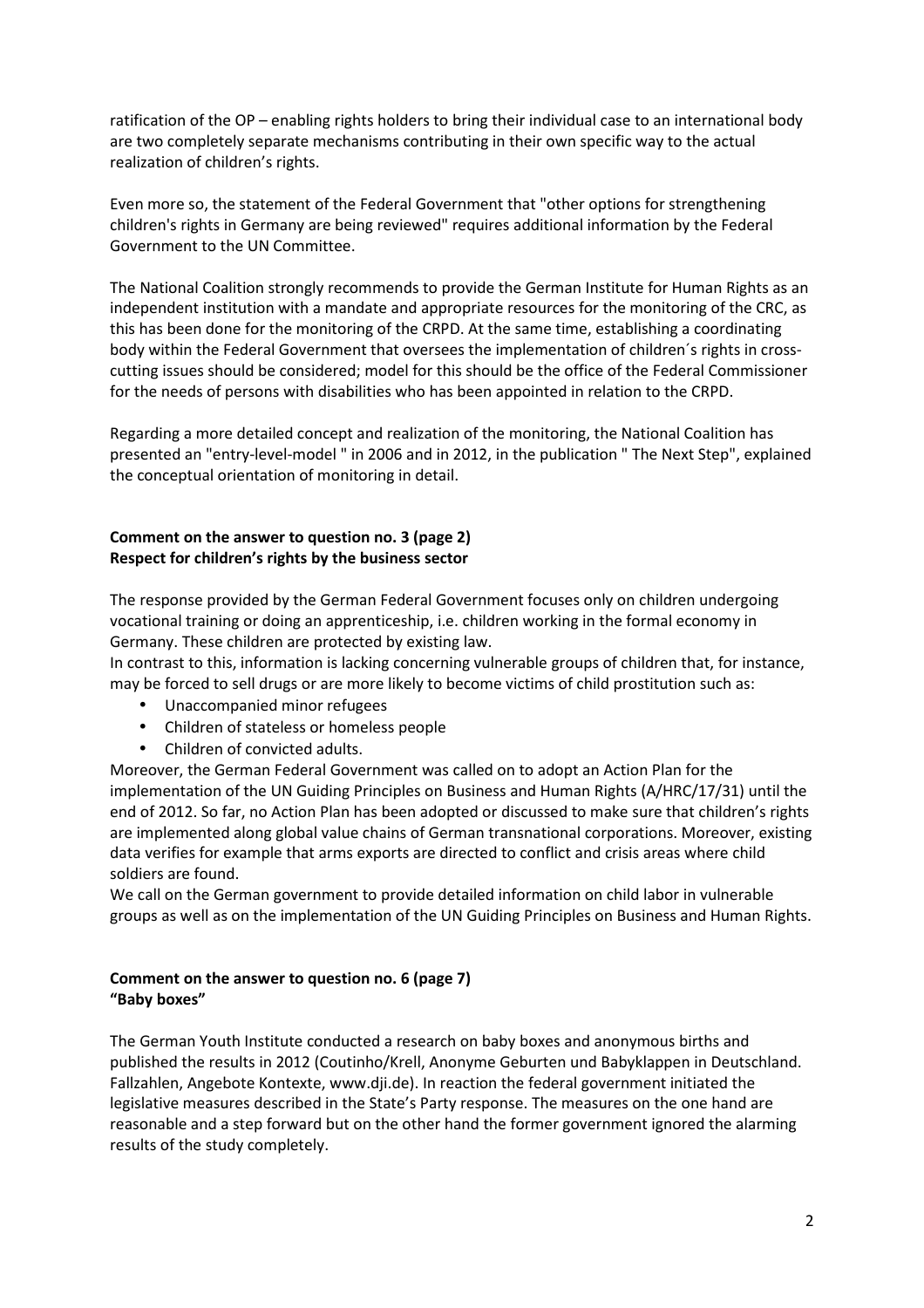ratification of the OP – enabling rights holders to bring their individual case to an international body are two completely separate mechanisms contributing in their own specific way to the actual realization of children's rights.

Even more so, the statement of the Federal Government that "other options for strengthening children's rights in Germany are being reviewed" requires additional information by the Federal Government to the UN Committee.

The National Coalition strongly recommends to provide the German Institute for Human Rights as an independent institution with a mandate and appropriate resources for the monitoring of the CRC, as this has been done for the monitoring of the CRPD. At the same time, establishing a coordinating body within the Federal Government that oversees the implementation of children´s rights in crosscutting issues should be considered; model for this should be the office of the Federal Commissioner for the needs of persons with disabilities who has been appointed in relation to the CRPD.

Regarding a more detailed concept and realization of the monitoring, the National Coalition has presented an "entry-level-model " in 2006 and in 2012, in the publication " The Next Step", explained the conceptual orientation of monitoring in detail.

#### **Comment on the answer to question no. 3 (page 2) Respect for children's rights by the business sector**

The response provided by the German Federal Government focuses only on children undergoing vocational training or doing an apprenticeship, i.e. children working in the formal economy in Germany. These children are protected by existing law.

In contrast to this, information is lacking concerning vulnerable groups of children that, for instance, may be forced to sell drugs or are more likely to become victims of child prostitution such as:

- Unaccompanied minor refugees
- Children of stateless or homeless people
- Children of convicted adults.

Moreover, the German Federal Government was called on to adopt an Action Plan for the implementation of the UN Guiding Principles on Business and Human Rights (A/HRC/17/31) until the end of 2012. So far, no Action Plan has been adopted or discussed to make sure that children's rights are implemented along global value chains of German transnational corporations. Moreover, existing data verifies for example that arms exports are directed to conflict and crisis areas where child soldiers are found.

We call on the German government to provide detailed information on child labor in vulnerable groups as well as on the implementation of the UN Guiding Principles on Business and Human Rights.

#### **Comment on the answer to question no. 6 (page 7) "Baby boxes"**

The German Youth Institute conducted a research on baby boxes and anonymous births and published the results in 2012 (Coutinho/Krell, Anonyme Geburten und Babyklappen in Deutschland. Fallzahlen, Angebote Kontexte, www.dji.de). In reaction the federal government initiated the legislative measures described in the State's Party response. The measures on the one hand are reasonable and a step forward but on the other hand the former government ignored the alarming results of the study completely.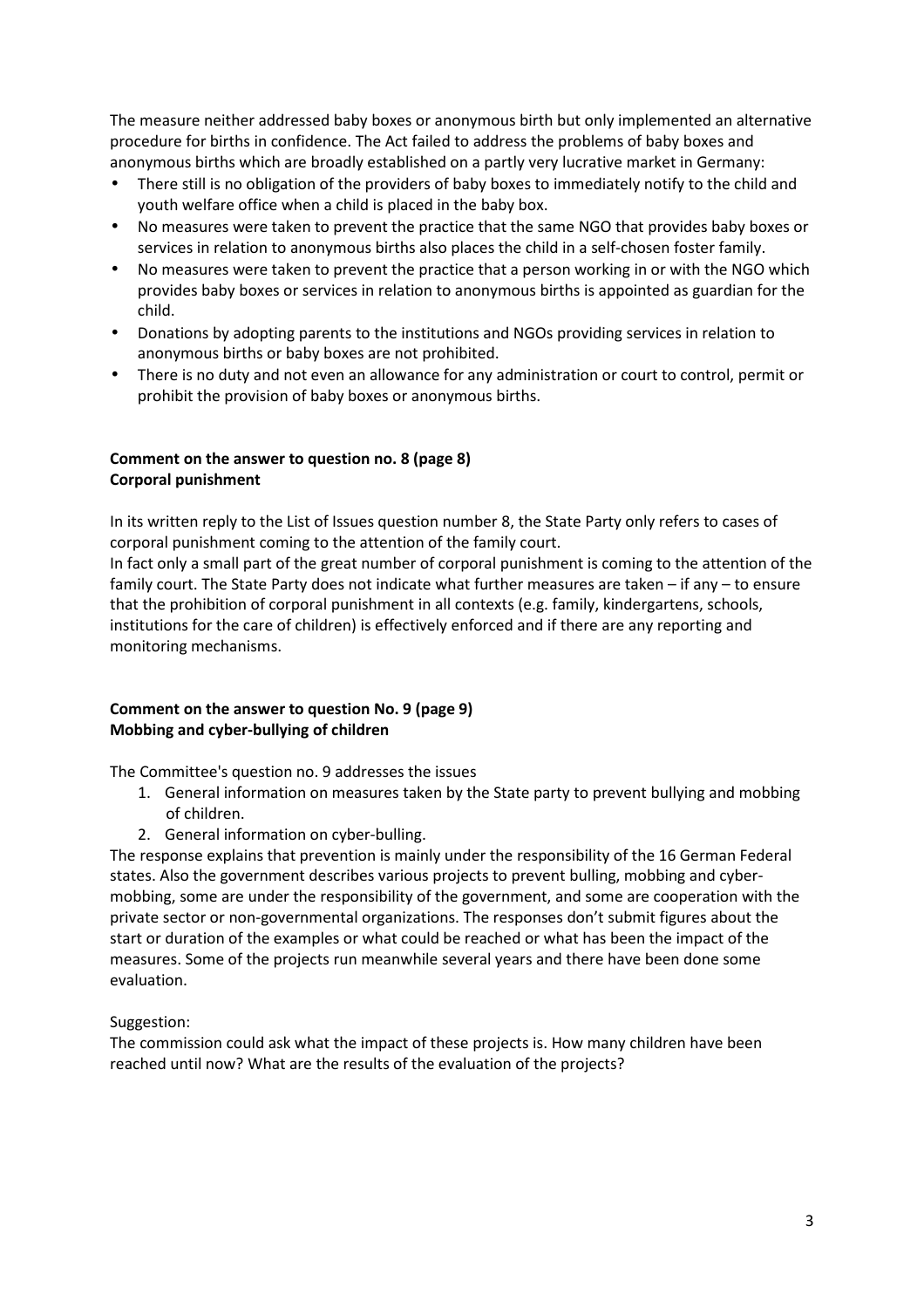The measure neither addressed baby boxes or anonymous birth but only implemented an alternative procedure for births in confidence. The Act failed to address the problems of baby boxes and anonymous births which are broadly established on a partly very lucrative market in Germany:

- There still is no obligation of the providers of baby boxes to immediately notify to the child and youth welfare office when a child is placed in the baby box.
- No measures were taken to prevent the practice that the same NGO that provides baby boxes or services in relation to anonymous births also places the child in a self-chosen foster family.
- No measures were taken to prevent the practice that a person working in or with the NGO which provides baby boxes or services in relation to anonymous births is appointed as guardian for the child.
- Donations by adopting parents to the institutions and NGOs providing services in relation to anonymous births or baby boxes are not prohibited.
- There is no duty and not even an allowance for any administration or court to control, permit or prohibit the provision of baby boxes or anonymous births.

## **Comment on the answer to question no. 8 (page 8) Corporal punishment**

In its written reply to the List of Issues question number 8, the State Party only refers to cases of corporal punishment coming to the attention of the family court.

In fact only a small part of the great number of corporal punishment is coming to the attention of the family court. The State Party does not indicate what further measures are taken – if any – to ensure that the prohibition of corporal punishment in all contexts (e.g. family, kindergartens, schools, institutions for the care of children) is effectively enforced and if there are any reporting and monitoring mechanisms.

## **Comment on the answer to question No. 9 (page 9) Mobbing and cyber-bullying of children**

The Committee's question no. 9 addresses the issues

- 1. General information on measures taken by the State party to prevent bullying and mobbing of children.
- 2. General information on cyber-bulling.

The response explains that prevention is mainly under the responsibility of the 16 German Federal states. Also the government describes various projects to prevent bulling, mobbing and cybermobbing, some are under the responsibility of the government, and some are cooperation with the private sector or non-governmental organizations. The responses don't submit figures about the start or duration of the examples or what could be reached or what has been the impact of the measures. Some of the projects run meanwhile several years and there have been done some evaluation.

#### Suggestion:

The commission could ask what the impact of these projects is. How many children have been reached until now? What are the results of the evaluation of the projects?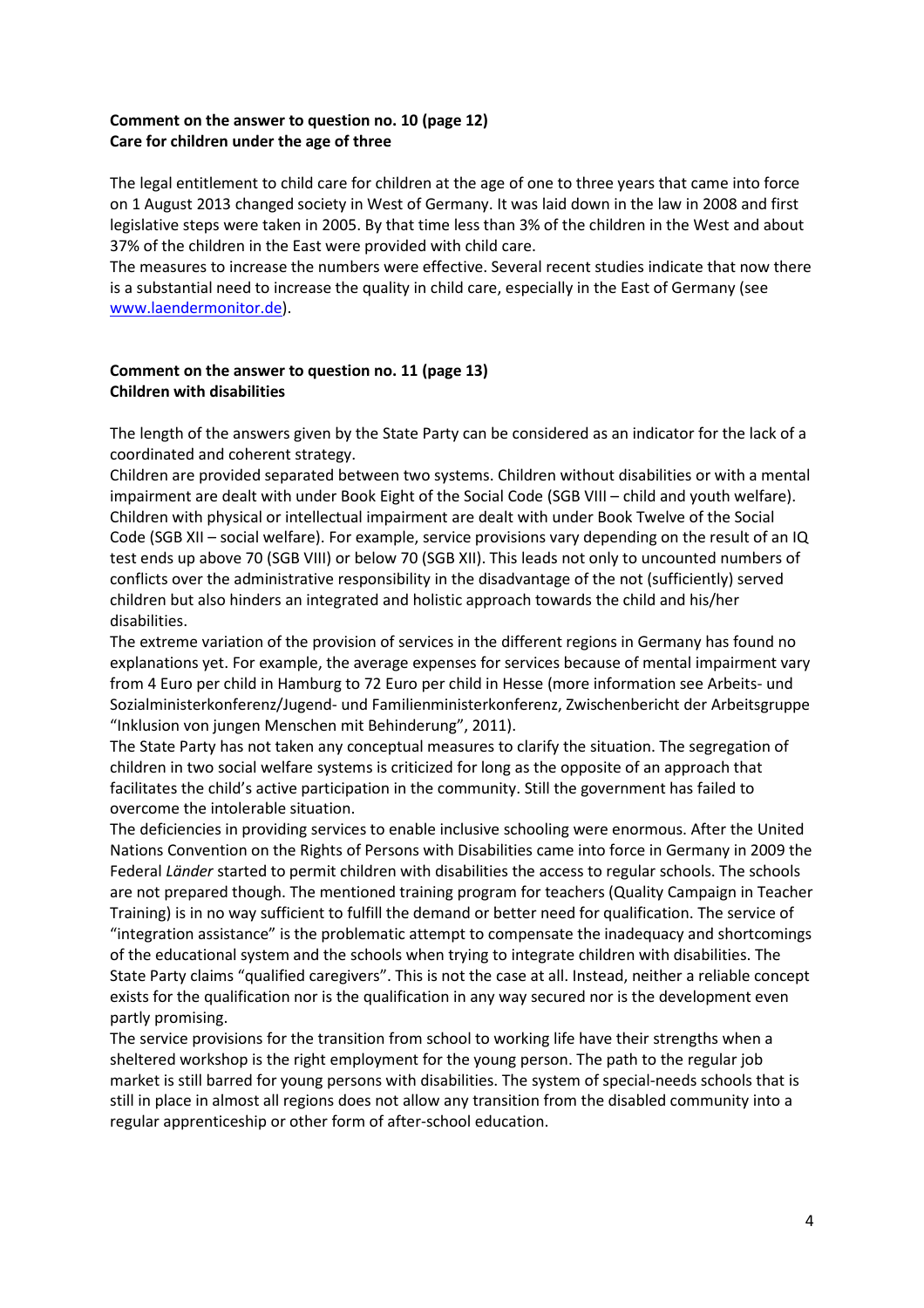#### **Comment on the answer to question no. 10 (page 12) Care for children under the age of three**

The legal entitlement to child care for children at the age of one to three years that came into force on 1 August 2013 changed society in West of Germany. It was laid down in the law in 2008 and first legislative steps were taken in 2005. By that time less than 3% of the children in the West and about 37% of the children in the East were provided with child care.

The measures to increase the numbers were effective. Several recent studies indicate that now there is a substantial need to increase the quality in child care, especially in the East of Germany (see www.laendermonitor.de).

#### **Comment on the answer to question no. 11 (page 13) Children with disabilities**

The length of the answers given by the State Party can be considered as an indicator for the lack of a coordinated and coherent strategy.

Children are provided separated between two systems. Children without disabilities or with a mental impairment are dealt with under Book Eight of the Social Code (SGB VIII – child and youth welfare). Children with physical or intellectual impairment are dealt with under Book Twelve of the Social Code (SGB XII – social welfare). For example, service provisions vary depending on the result of an IQ test ends up above 70 (SGB VIII) or below 70 (SGB XII). This leads not only to uncounted numbers of conflicts over the administrative responsibility in the disadvantage of the not (sufficiently) served children but also hinders an integrated and holistic approach towards the child and his/her disabilities.

The extreme variation of the provision of services in the different regions in Germany has found no explanations yet. For example, the average expenses for services because of mental impairment vary from 4 Euro per child in Hamburg to 72 Euro per child in Hesse (more information see Arbeits- und Sozialministerkonferenz/Jugend- und Familienministerkonferenz, Zwischenbericht der Arbeitsgruppe "Inklusion von jungen Menschen mit Behinderung", 2011).

The State Party has not taken any conceptual measures to clarify the situation. The segregation of children in two social welfare systems is criticized for long as the opposite of an approach that facilitates the child's active participation in the community. Still the government has failed to overcome the intolerable situation.

The deficiencies in providing services to enable inclusive schooling were enormous. After the United Nations Convention on the Rights of Persons with Disabilities came into force in Germany in 2009 the Federal *Länder* started to permit children with disabilities the access to regular schools. The schools are not prepared though. The mentioned training program for teachers (Quality Campaign in Teacher Training) is in no way sufficient to fulfill the demand or better need for qualification. The service of "integration assistance" is the problematic attempt to compensate the inadequacy and shortcomings of the educational system and the schools when trying to integrate children with disabilities. The State Party claims "qualified caregivers". This is not the case at all. Instead, neither a reliable concept exists for the qualification nor is the qualification in any way secured nor is the development even partly promising.

The service provisions for the transition from school to working life have their strengths when a sheltered workshop is the right employment for the young person. The path to the regular job market is still barred for young persons with disabilities. The system of special-needs schools that is still in place in almost all regions does not allow any transition from the disabled community into a regular apprenticeship or other form of after-school education.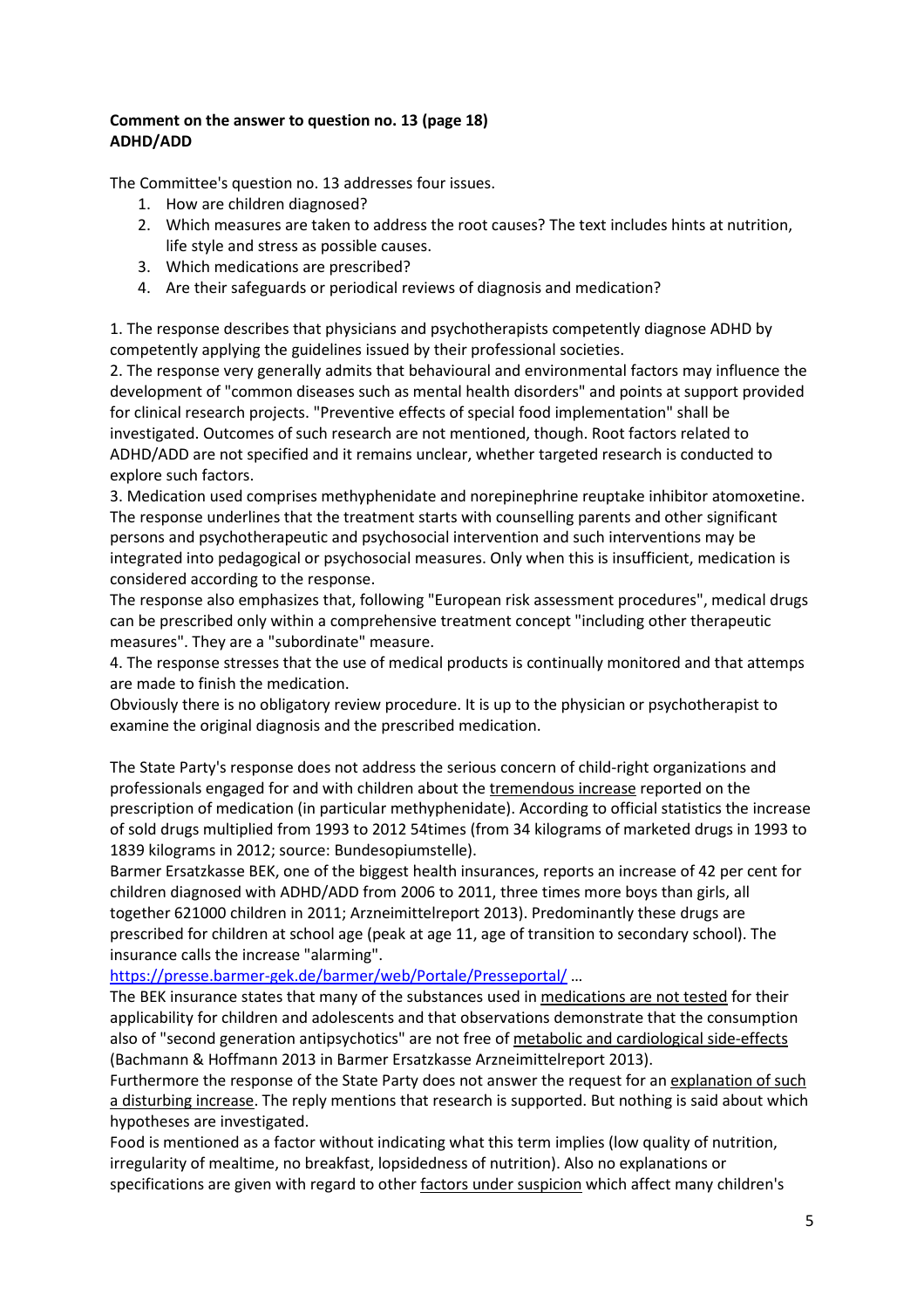#### **Comment on the answer to question no. 13 (page 18) ADHD/ADD**

The Committee's question no. 13 addresses four issues.

- 1. How are children diagnosed?
- 2. Which measures are taken to address the root causes? The text includes hints at nutrition, life style and stress as possible causes.
- 3. Which medications are prescribed?
- 4. Are their safeguards or periodical reviews of diagnosis and medication?

1. The response describes that physicians and psychotherapists competently diagnose ADHD by competently applying the guidelines issued by their professional societies.

2. The response very generally admits that behavioural and environmental factors may influence the development of "common diseases such as mental health disorders" and points at support provided for clinical research projects. "Preventive effects of special food implementation" shall be investigated. Outcomes of such research are not mentioned, though. Root factors related to ADHD/ADD are not specified and it remains unclear, whether targeted research is conducted to explore such factors.

3. Medication used comprises methyphenidate and norepinephrine reuptake inhibitor atomoxetine. The response underlines that the treatment starts with counselling parents and other significant persons and psychotherapeutic and psychosocial intervention and such interventions may be integrated into pedagogical or psychosocial measures. Only when this is insufficient, medication is considered according to the response.

The response also emphasizes that, following "European risk assessment procedures", medical drugs can be prescribed only within a comprehensive treatment concept "including other therapeutic measures". They are a "subordinate" measure.

4. The response stresses that the use of medical products is continually monitored and that attemps are made to finish the medication.

Obviously there is no obligatory review procedure. It is up to the physician or psychotherapist to examine the original diagnosis and the prescribed medication.

The State Party's response does not address the serious concern of child-right organizations and professionals engaged for and with children about the tremendous increase reported on the prescription of medication (in particular methyphenidate). According to official statistics the increase of sold drugs multiplied from 1993 to 2012 54times (from 34 kilograms of marketed drugs in 1993 to 1839 kilograms in 2012; source: Bundesopiumstelle).

Barmer Ersatzkasse BEK, one of the biggest health insurances, reports an increase of 42 per cent for children diagnosed with ADHD/ADD from 2006 to 2011, three times more boys than girls, all together 621000 children in 2011; Arzneimittelreport 2013). Predominantly these drugs are prescribed for children at school age (peak at age 11, age of transition to secondary school). The insurance calls the increase "alarming".

https://presse.barmer-gek.de/barmer/web/Portale/Presseportal/ …

The BEK insurance states that many of the substances used in medications are not tested for their applicability for children and adolescents and that observations demonstrate that the consumption also of "second generation antipsychotics" are not free of metabolic and cardiological side-effects (Bachmann & Hoffmann 2013 in Barmer Ersatzkasse Arzneimittelreport 2013).

Furthermore the response of the State Party does not answer the request for an explanation of such a disturbing increase. The reply mentions that research is supported. But nothing is said about which hypotheses are investigated.

Food is mentioned as a factor without indicating what this term implies (low quality of nutrition, irregularity of mealtime, no breakfast, lopsidedness of nutrition). Also no explanations or specifications are given with regard to other factors under suspicion which affect many children's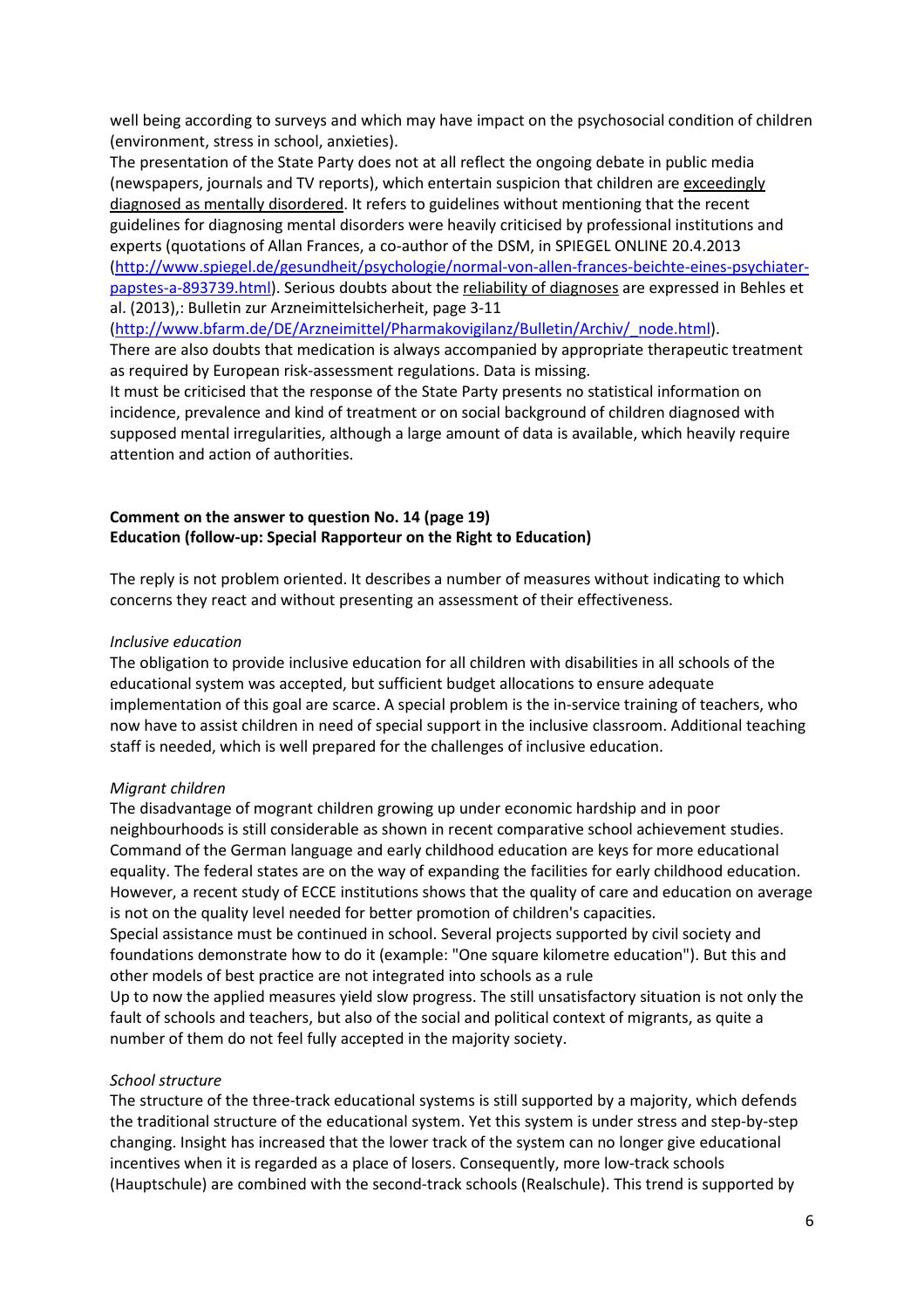well being according to surveys and which may have impact on the psychosocial condition of children (environment, stress in school, anxieties).

The presentation of the State Party does not at all reflect the ongoing debate in public media (newspapers, journals and TV reports), which entertain suspicion that children are exceedingly diagnosed as mentally disordered. It refers to guidelines without mentioning that the recent guidelines for diagnosing mental disorders were heavily criticised by professional institutions and experts (quotations of Allan Frances, a co-author of the DSM, in SPIEGEL ONLINE 20.4.2013 (http://www.spiegel.de/gesundheit/psychologie/normal-von-allen-frances-beichte-eines-psychiaterpapstes-a-893739.html). Serious doubts about the reliability of diagnoses are expressed in Behles et al. (2013),: Bulletin zur Arzneimittelsicherheit, page 3-11

(http://www.bfarm.de/DE/Arzneimittel/Pharmakovigilanz/Bulletin/Archiv/\_node.html).

There are also doubts that medication is always accompanied by appropriate therapeutic treatment as required by European risk-assessment regulations. Data is missing.

It must be criticised that the response of the State Party presents no statistical information on incidence, prevalence and kind of treatment or on social background of children diagnosed with supposed mental irregularities, although a large amount of data is available, which heavily require attention and action of authorities.

#### **Comment on the answer to question No. 14 (page 19) Education (follow-up: Special Rapporteur on the Right to Education)**

The reply is not problem oriented. It describes a number of measures without indicating to which concerns they react and without presenting an assessment of their effectiveness.

#### *Inclusive education*

The obligation to provide inclusive education for all children with disabilities in all schools of the educational system was accepted, but sufficient budget allocations to ensure adequate implementation of this goal are scarce. A special problem is the in-service training of teachers, who now have to assist children in need of special support in the inclusive classroom. Additional teaching staff is needed, which is well prepared for the challenges of inclusive education.

#### *Migrant children*

The disadvantage of mogrant children growing up under economic hardship and in poor neighbourhoods is still considerable as shown in recent comparative school achievement studies. Command of the German language and early childhood education are keys for more educational equality. The federal states are on the way of expanding the facilities for early childhood education. However, a recent study of ECCE institutions shows that the quality of care and education on average is not on the quality level needed for better promotion of children's capacities.

Special assistance must be continued in school. Several projects supported by civil society and foundations demonstrate how to do it (example: "One square kilometre education"). But this and other models of best practice are not integrated into schools as a rule

Up to now the applied measures yield slow progress. The still unsatisfactory situation is not only the fault of schools and teachers, but also of the social and political context of migrants, as quite a number of them do not feel fully accepted in the majority society.

#### *School structure*

The structure of the three-track educational systems is still supported by a majority, which defends the traditional structure of the educational system. Yet this system is under stress and step-by-step changing. Insight has increased that the lower track of the system can no longer give educational incentives when it is regarded as a place of losers. Consequently, more low-track schools (Hauptschule) are combined with the second-track schools (Realschule). This trend is supported by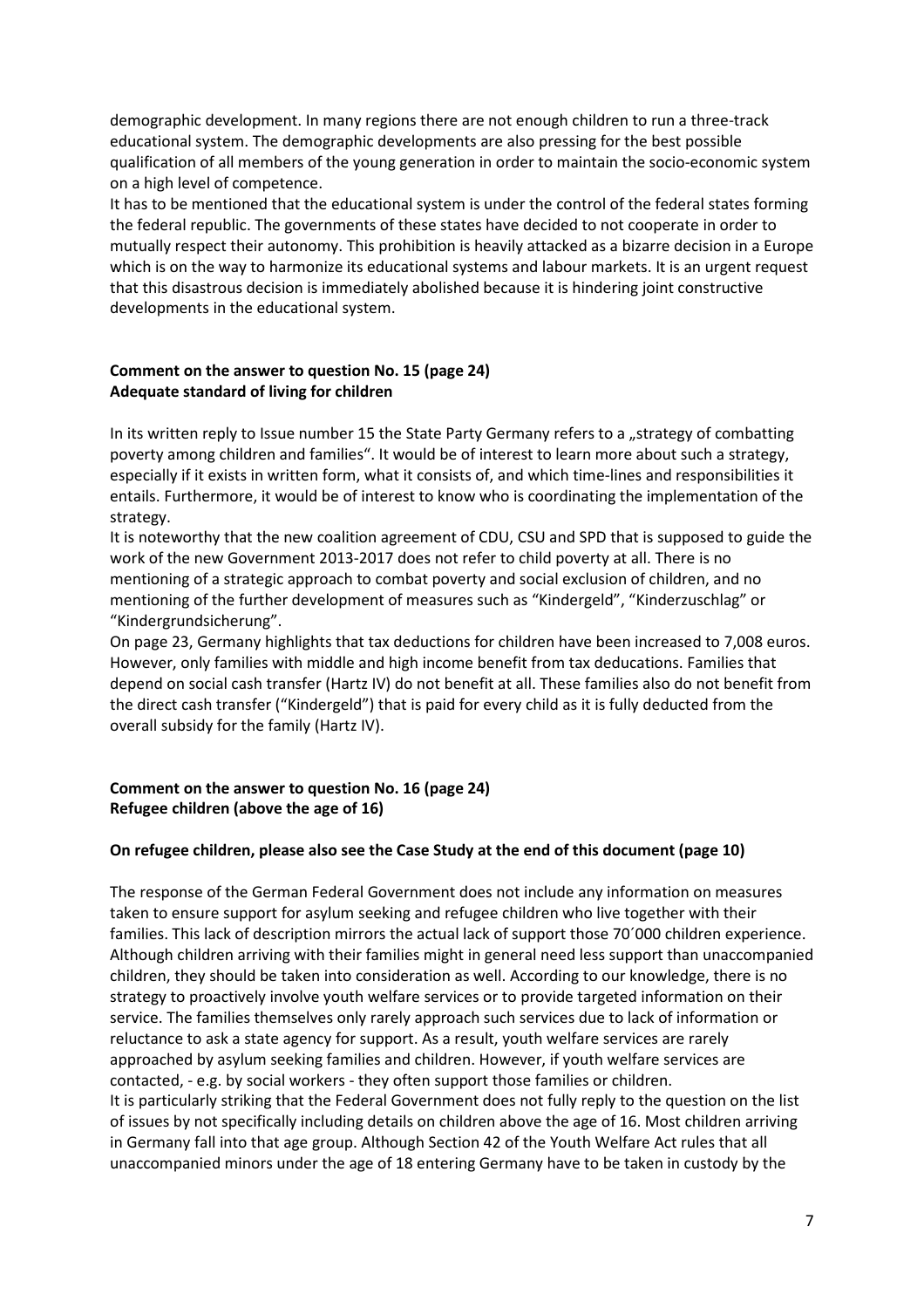demographic development. In many regions there are not enough children to run a three-track educational system. The demographic developments are also pressing for the best possible qualification of all members of the young generation in order to maintain the socio-economic system on a high level of competence.

It has to be mentioned that the educational system is under the control of the federal states forming the federal republic. The governments of these states have decided to not cooperate in order to mutually respect their autonomy. This prohibition is heavily attacked as a bizarre decision in a Europe which is on the way to harmonize its educational systems and labour markets. It is an urgent request that this disastrous decision is immediately abolished because it is hindering joint constructive developments in the educational system.

#### **Comment on the answer to question No. 15 (page 24) Adequate standard of living for children**

In its written reply to Issue number 15 the State Party Germany refers to a "strategy of combatting poverty among children and families". It would be of interest to learn more about such a strategy, especially if it exists in written form, what it consists of, and which time-lines and responsibilities it entails. Furthermore, it would be of interest to know who is coordinating the implementation of the strategy.

It is noteworthy that the new coalition agreement of CDU, CSU and SPD that is supposed to guide the work of the new Government 2013-2017 does not refer to child poverty at all. There is no mentioning of a strategic approach to combat poverty and social exclusion of children, and no mentioning of the further development of measures such as "Kindergeld", "Kinderzuschlag" or "Kindergrundsicherung".

On page 23, Germany highlights that tax deductions for children have been increased to 7,008 euros. However, only families with middle and high income benefit from tax deducations. Families that depend on social cash transfer (Hartz IV) do not benefit at all. These families also do not benefit from the direct cash transfer ("Kindergeld") that is paid for every child as it is fully deducted from the overall subsidy for the family (Hartz IV).

#### **Comment on the answer to question No. 16 (page 24) Refugee children (above the age of 16)**

#### **On refugee children, please also see the Case Study at the end of this document (page 10)**

The response of the German Federal Government does not include any information on measures taken to ensure support for asylum seeking and refugee children who live together with their families. This lack of description mirrors the actual lack of support those 70´000 children experience. Although children arriving with their families might in general need less support than unaccompanied children, they should be taken into consideration as well. According to our knowledge, there is no strategy to proactively involve youth welfare services or to provide targeted information on their service. The families themselves only rarely approach such services due to lack of information or reluctance to ask a state agency for support. As a result, youth welfare services are rarely approached by asylum seeking families and children. However, if youth welfare services are contacted, - e.g. by social workers - they often support those families or children. It is particularly striking that the Federal Government does not fully reply to the question on the list of issues by not specifically including details on children above the age of 16. Most children arriving in Germany fall into that age group. Although Section 42 of the Youth Welfare Act rules that all unaccompanied minors under the age of 18 entering Germany have to be taken in custody by the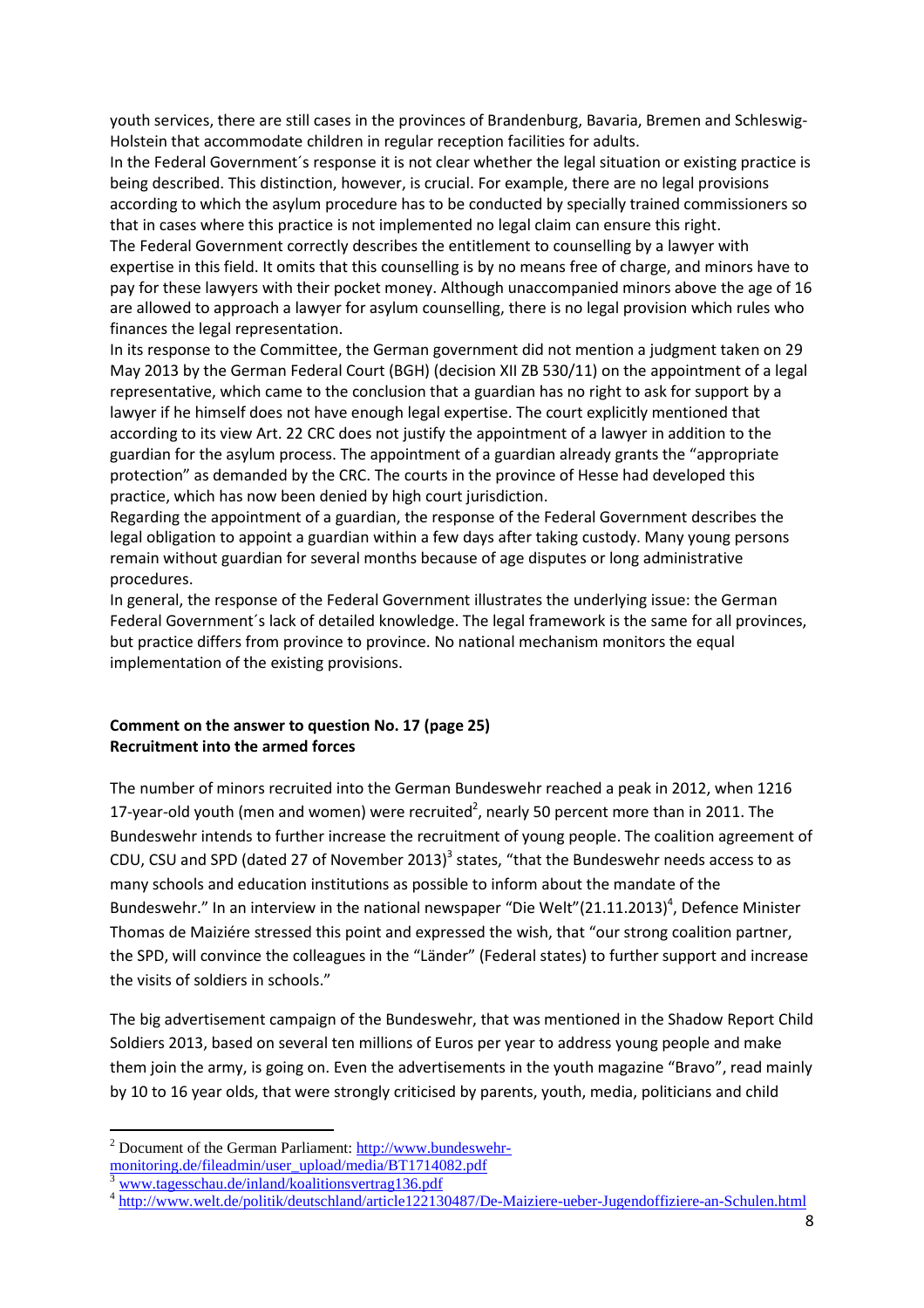youth services, there are still cases in the provinces of Brandenburg, Bavaria, Bremen and Schleswig-Holstein that accommodate children in regular reception facilities for adults.

In the Federal Government´s response it is not clear whether the legal situation or existing practice is being described. This distinction, however, is crucial. For example, there are no legal provisions according to which the asylum procedure has to be conducted by specially trained commissioners so that in cases where this practice is not implemented no legal claim can ensure this right.

The Federal Government correctly describes the entitlement to counselling by a lawyer with expertise in this field. It omits that this counselling is by no means free of charge, and minors have to pay for these lawyers with their pocket money. Although unaccompanied minors above the age of 16 are allowed to approach a lawyer for asylum counselling, there is no legal provision which rules who finances the legal representation.

In its response to the Committee, the German government did not mention a judgment taken on 29 May 2013 by the German Federal Court (BGH) (decision XII ZB 530/11) on the appointment of a legal representative, which came to the conclusion that a guardian has no right to ask for support by a lawyer if he himself does not have enough legal expertise. The court explicitly mentioned that according to its view Art. 22 CRC does not justify the appointment of a lawyer in addition to the guardian for the asylum process. The appointment of a guardian already grants the "appropriate protection" as demanded by the CRC. The courts in the province of Hesse had developed this practice, which has now been denied by high court jurisdiction.

Regarding the appointment of a guardian, the response of the Federal Government describes the legal obligation to appoint a guardian within a few days after taking custody. Many young persons remain without guardian for several months because of age disputes or long administrative procedures.

In general, the response of the Federal Government illustrates the underlying issue: the German Federal Government´s lack of detailed knowledge. The legal framework is the same for all provinces, but practice differs from province to province. No national mechanism monitors the equal implementation of the existing provisions.

#### **Comment on the answer to question No. 17 (page 25) Recruitment into the armed forces**

The number of minors recruited into the German Bundeswehr reached a peak in 2012, when 1216 17-year-old youth (men and women) were recruited<sup>2</sup>, nearly 50 percent more than in 2011. The Bundeswehr intends to further increase the recruitment of young people. The coalition agreement of CDU, CSU and SPD (dated 27 of November 2013)<sup>3</sup> states, "that the Bundeswehr needs access to as many schools and education institutions as possible to inform about the mandate of the Bundeswehr." In an interview in the national newspaper "Die Welt" $(21.11.2013)^4$ , Defence Minister Thomas de Maiziére stressed this point and expressed the wish, that "our strong coalition partner, the SPD, will convince the colleagues in the "Länder" (Federal states) to further support and increase the visits of soldiers in schools."

The big advertisement campaign of the Bundeswehr, that was mentioned in the Shadow Report Child Soldiers 2013, based on several ten millions of Euros per year to address young people and make them join the army, is going on. Even the advertisements in the youth magazine "Bravo", read mainly by 10 to 16 year olds, that were strongly criticised by parents, youth, media, politicians and child

 $\overline{a}$ 

<sup>&</sup>lt;sup>2</sup> Document of the German Parliament: http://www.bundeswehr-

monitoring.de/fileadmin/user\_upload/media/BT1714082.pdf

<sup>3</sup> www.tagesschau.de/inland/koalitionsvertrag136.pdf

<sup>&</sup>lt;sup>4</sup> http://www.welt.de/politik/deutschland/article122130487/De-Maiziere-ueber-Jugendoffiziere-an-Schulen.html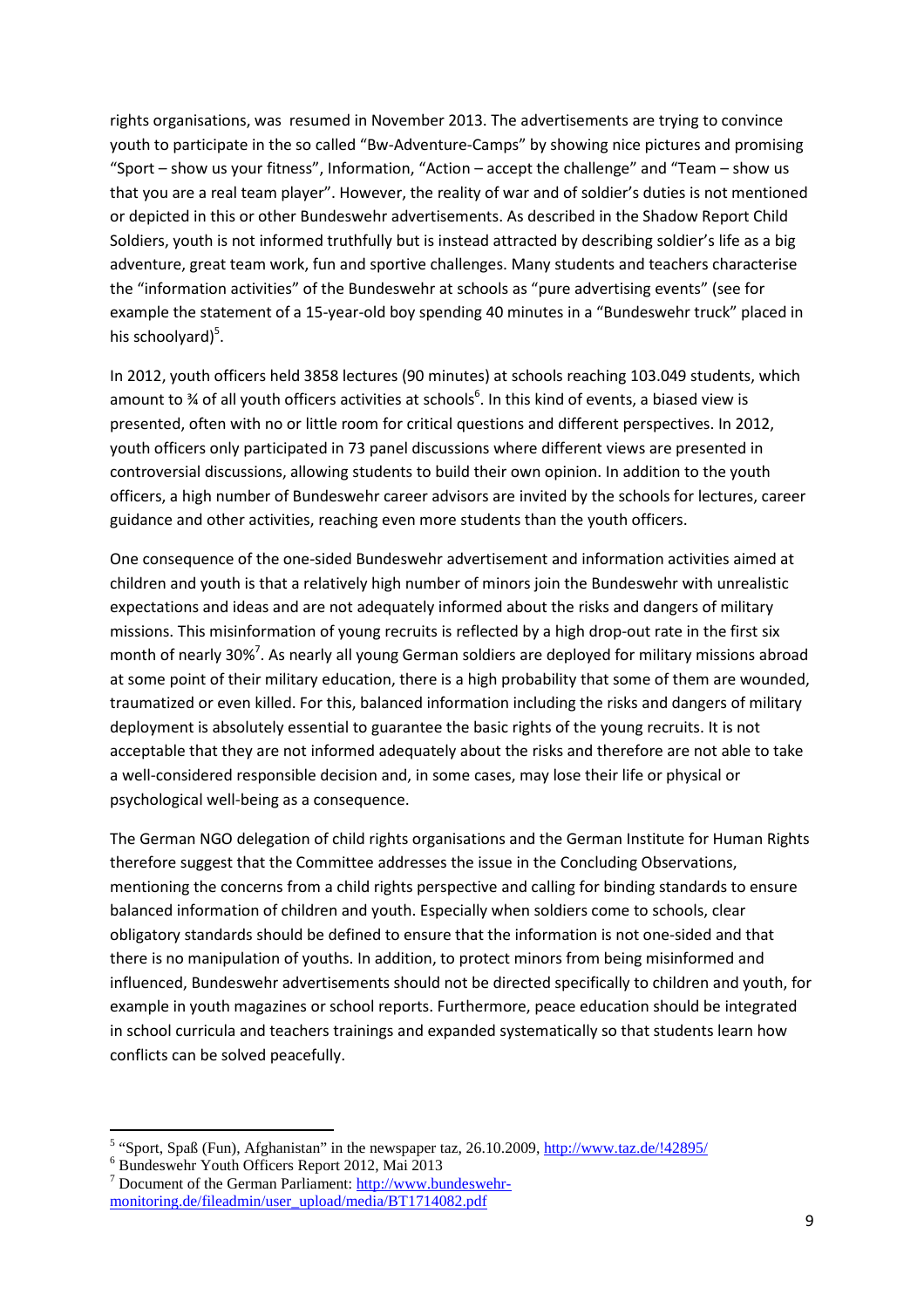rights organisations, was resumed in November 2013. The advertisements are trying to convince youth to participate in the so called "Bw-Adventure-Camps" by showing nice pictures and promising "Sport – show us your fitness", Information, "Action – accept the challenge" and "Team – show us that you are a real team player". However, the reality of war and of soldier's duties is not mentioned or depicted in this or other Bundeswehr advertisements. As described in the Shadow Report Child Soldiers, youth is not informed truthfully but is instead attracted by describing soldier's life as a big adventure, great team work, fun and sportive challenges. Many students and teachers characterise the "information activities" of the Bundeswehr at schools as "pure advertising events" (see for example the statement of a 15-year-old boy spending 40 minutes in a "Bundeswehr truck" placed in his schoolyard)<sup>5</sup>.

In 2012, youth officers held 3858 lectures (90 minutes) at schools reaching 103.049 students, which amount to % of all youth officers activities at schools<sup>6</sup>. In this kind of events, a biased view is presented, often with no or little room for critical questions and different perspectives. In 2012, youth officers only participated in 73 panel discussions where different views are presented in controversial discussions, allowing students to build their own opinion. In addition to the youth officers, a high number of Bundeswehr career advisors are invited by the schools for lectures, career guidance and other activities, reaching even more students than the youth officers.

One consequence of the one-sided Bundeswehr advertisement and information activities aimed at children and youth is that a relatively high number of minors join the Bundeswehr with unrealistic expectations and ideas and are not adequately informed about the risks and dangers of military missions. This misinformation of young recruits is reflected by a high drop-out rate in the first six month of nearly 30%<sup>7</sup>. As nearly all young German soldiers are deployed for military missions abroad at some point of their military education, there is a high probability that some of them are wounded, traumatized or even killed. For this, balanced information including the risks and dangers of military deployment is absolutely essential to guarantee the basic rights of the young recruits. It is not acceptable that they are not informed adequately about the risks and therefore are not able to take a well-considered responsible decision and, in some cases, may lose their life or physical or psychological well-being as a consequence.

The German NGO delegation of child rights organisations and the German Institute for Human Rights therefore suggest that the Committee addresses the issue in the Concluding Observations, mentioning the concerns from a child rights perspective and calling for binding standards to ensure balanced information of children and youth. Especially when soldiers come to schools, clear obligatory standards should be defined to ensure that the information is not one-sided and that there is no manipulation of youths. In addition, to protect minors from being misinformed and influenced, Bundeswehr advertisements should not be directed specifically to children and youth, for example in youth magazines or school reports. Furthermore, peace education should be integrated in school curricula and teachers trainings and expanded systematically so that students learn how conflicts can be solved peacefully.

 $\overline{a}$ 

<sup>&</sup>lt;sup>5</sup> "Sport, Spaß (Fun), Afghanistan" in the newspaper taz, 26.10.2009, http://www.taz.de/!42895/

<sup>6</sup> Bundeswehr Youth Officers Report 2012, Mai 2013

<sup>&</sup>lt;sup>7</sup> Document of the German Parliament: http://www.bundeswehrmonitoring.de/fileadmin/user\_upload/media/BT1714082.pdf